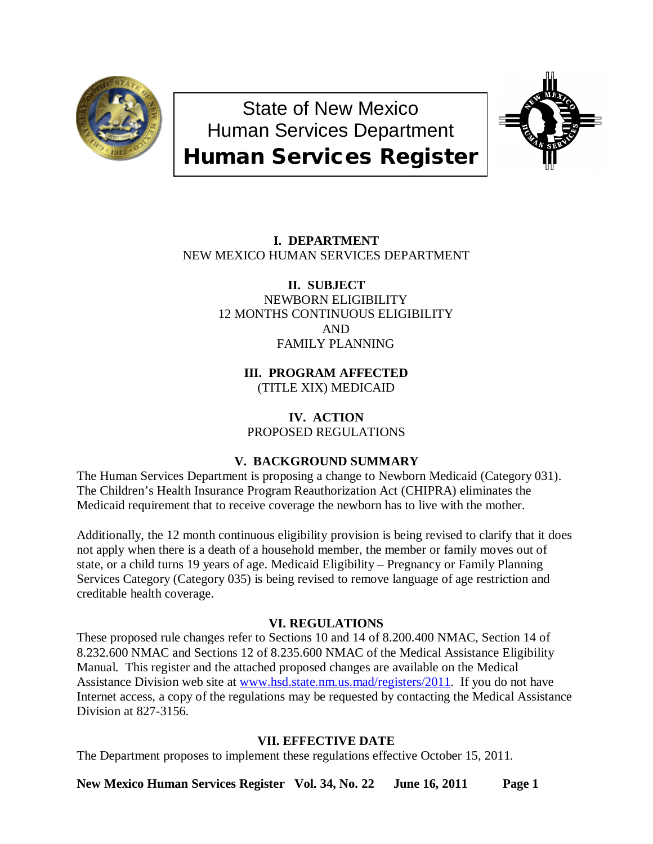

State of New Mexico Human Services Department Human Services Register



# **I. DEPARTMENT** NEW MEXICO HUMAN SERVICES DEPARTMENT

**II. SUBJECT** NEWBORN ELIGIBILITY 12 MONTHS CONTINUOUS ELIGIBILITY AND FAMILY PLANNING

> **III. PROGRAM AFFECTED** (TITLE XIX) MEDICAID

**IV. ACTION** PROPOSED REGULATIONS

# **V. BACKGROUND SUMMARY**

The Human Services Department is proposing a change to Newborn Medicaid (Category 031). The Children's Health Insurance Program Reauthorization Act (CHIPRA) eliminates the Medicaid requirement that to receive coverage the newborn has to live with the mother.

Additionally, the 12 month continuous eligibility provision is being revised to clarify that it does not apply when there is a death of a household member, the member or family moves out of state, or a child turns 19 years of age. Medicaid Eligibility – Pregnancy or Family Planning Services Category (Category 035) is being revised to remove language of age restriction and creditable health coverage.

## **VI. REGULATIONS**

These proposed rule changes refer to Sections 10 and 14 of 8.200.400 NMAC, Section 14 of 8.232.600 NMAC and Sections 12 of 8.235.600 NMAC of the Medical Assistance Eligibility Manual. This register and the attached proposed changes are available on the Medical Assistance Division web site at [www.hsd.state.nm.us.mad/registers/2011.](http://www.hsd.state.nm.us.mad/registers/2011) If you do not have Internet access, a copy of the regulations may be requested by contacting the Medical Assistance Division at 827-3156.

## **VII. EFFECTIVE DATE**

The Department proposes to implement these regulations effective October 15, 2011.

**New Mexico Human Services Register Vol. 34, No. 22 June 16, 2011 Page 1**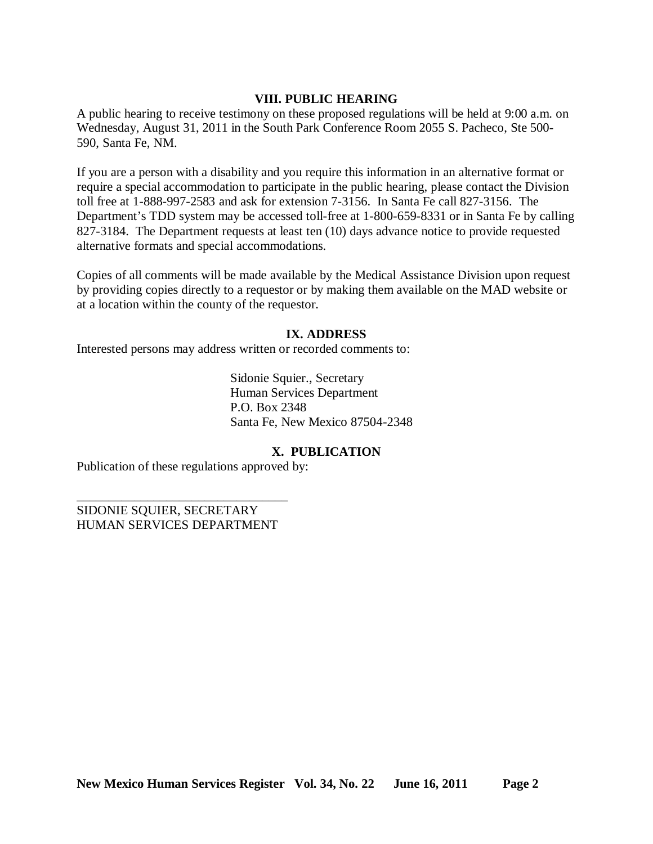### **VIII. PUBLIC HEARING**

A public hearing to receive testimony on these proposed regulations will be held at 9:00 a.m. on Wednesday, August 31, 2011 in the South Park Conference Room 2055 S. Pacheco, Ste 500- 590, Santa Fe, NM.

If you are a person with a disability and you require this information in an alternative format or require a special accommodation to participate in the public hearing, please contact the Division toll free at 1-888-997-2583 and ask for extension 7-3156. In Santa Fe call 827-3156. The Department's TDD system may be accessed toll-free at 1-800-659-8331 or in Santa Fe by calling 827-3184. The Department requests at least ten (10) days advance notice to provide requested alternative formats and special accommodations.

Copies of all comments will be made available by the Medical Assistance Division upon request by providing copies directly to a requestor or by making them available on the MAD website or at a location within the county of the requestor.

### **IX. ADDRESS**

Interested persons may address written or recorded comments to:

Sidonie Squier., Secretary Human Services Department P.O. Box 2348 Santa Fe, New Mexico 87504-2348

### **X. PUBLICATION**

Publication of these regulations approved by:

SIDONIE SQUIER, SECRETARY HUMAN SERVICES DEPARTMENT

\_\_\_\_\_\_\_\_\_\_\_\_\_\_\_\_\_\_\_\_\_\_\_\_\_\_\_\_\_\_\_\_\_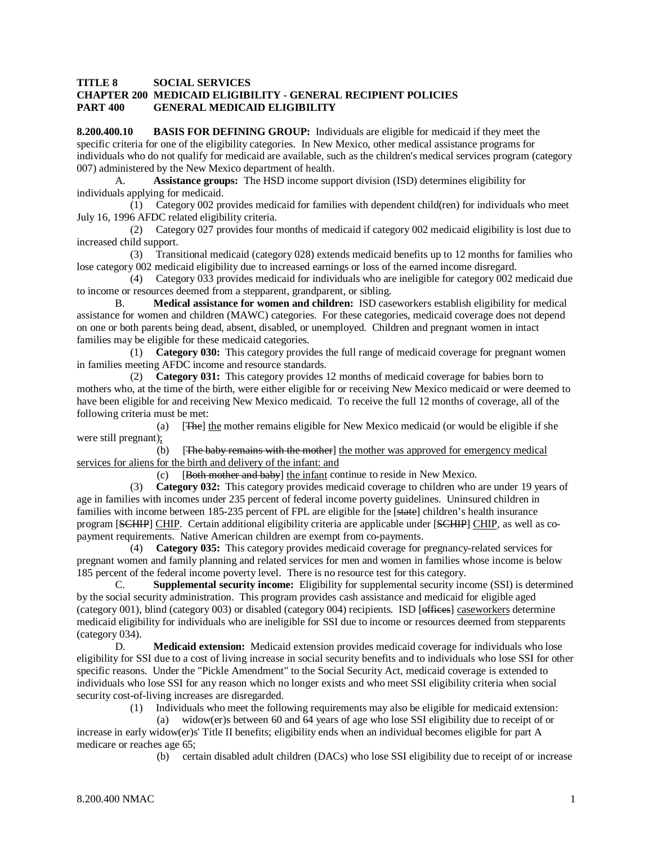### **TITLE 8 SOCIAL SERVICES CHAPTER 200 MEDICAID ELIGIBILITY - GENERAL RECIPIENT POLICIES PART 400 GENERAL MEDICAID ELIGIBILITY**

**8.200.400.10 BASIS FOR DEFINING GROUP:** Individuals are eligible for medicaid if they meet the specific criteria for one of the eligibility categories. In New Mexico, other medical assistance programs for individuals who do not qualify for medicaid are available, such as the children's medical services program (category 007) administered by the New Mexico department of health.

A. **Assistance groups:** The HSD income support division (ISD) determines eligibility for individuals applying for medicaid.

 (1) Category 002 provides medicaid for families with dependent child(ren) for individuals who meet July 16, 1996 AFDC related eligibility criteria.

 (2) Category 027 provides four months of medicaid if category 002 medicaid eligibility is lost due to increased child support.

 (3) Transitional medicaid (category 028) extends medicaid benefits up to 12 months for families who lose category 002 medicaid eligibility due to increased earnings or loss of the earned income disregard.

 (4) Category 033 provides medicaid for individuals who are ineligible for category 002 medicaid due to income or resources deemed from a stepparent, grandparent, or sibling.

B. **Medical assistance for women and children:** ISD caseworkers establish eligibility for medical assistance for women and children (MAWC) categories. For these categories, medicaid coverage does not depend on one or both parents being dead, absent, disabled, or unemployed. Children and pregnant women in intact families may be eligible for these medicaid categories.

 (1) **Category 030:** This category provides the full range of medicaid coverage for pregnant women in families meeting AFDC income and resource standards.

 (2) **Category 031:** This category provides 12 months of medicaid coverage for babies born to mothers who, at the time of the birth, were either eligible for or receiving New Mexico medicaid or were deemed to have been eligible for and receiving New Mexico medicaid. To receive the full 12 months of coverage, all of the following criteria must be met:

(a)  $[$ **The**  $]$  the mother remains eligible for New Mexico medicaid (or would be eligible if she were still pregnant);

 $(b)$ The baby remains with the mother] the mother was approved for emergency medical services for aliens for the birth and delivery of the infant: and

> $(c)$ Both mother and baby] the infant continue to reside in New Mexico.

 (3) **Category 032:** This category provides medicaid coverage to children who are under 19 years of age in families with incomes under 235 percent of federal income poverty guidelines. Uninsured children in families with income between 185-235 percent of FPL are eligible for the [state] children's health insurance program [SCHIP] CHIP. Certain additional eligibility criteria are applicable under [SCHIP] CHIP, as well as copayment requirements. Native American children are exempt from co-payments.

 (4) **Category 035:** This category provides medicaid coverage for pregnancy-related services for pregnant women and family planning and related services for men and women in families whose income is below 185 percent of the federal income poverty level. There is no resource test for this category.

C. **Supplemental security income:** Eligibility for supplemental security income (SSI) is determined by the social security administration. This program provides cash assistance and medicaid for eligible aged (category 001), blind (category 003) or disabled (category 004) recipients. ISD [offices] caseworkers determine medicaid eligibility for individuals who are ineligible for SSI due to income or resources deemed from stepparents (category 034).

D. **Medicaid extension:** Medicaid extension provides medicaid coverage for individuals who lose eligibility for SSI due to a cost of living increase in social security benefits and to individuals who lose SSI for other specific reasons. Under the "Pickle Amendment" to the Social Security Act, medicaid coverage is extended to individuals who lose SSI for any reason which no longer exists and who meet SSI eligibility criteria when social security cost-of-living increases are disregarded.

(1) Individuals who meet the following requirements may also be eligible for medicaid extension:

 (a) widow(er)s between 60 and 64 years of age who lose SSI eligibility due to receipt of or increase in early widow(er)s' Title II benefits; eligibility ends when an individual becomes eligible for part A medicare or reaches age 65;

(b) certain disabled adult children (DACs) who lose SSI eligibility due to receipt of or increase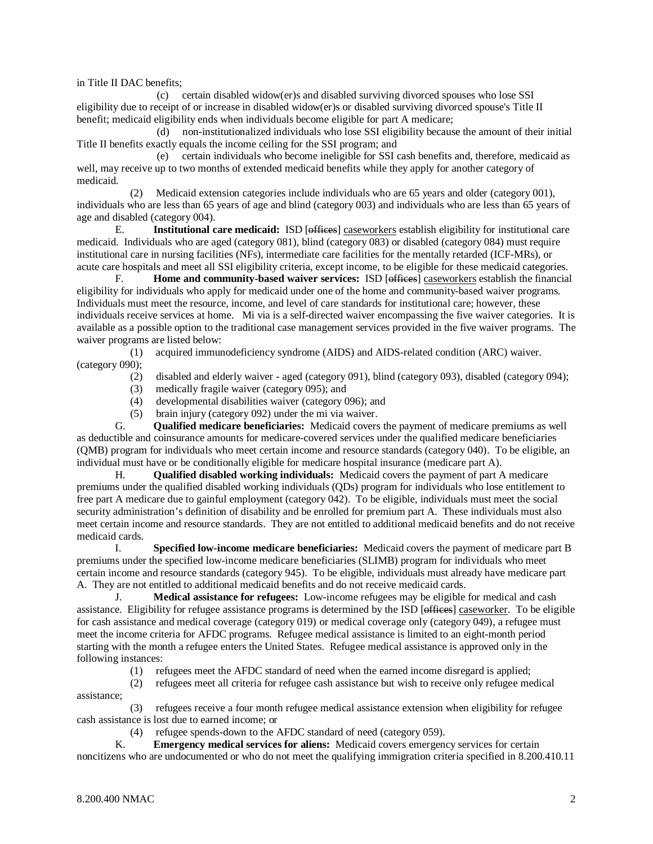in Title II DAC benefits;

 (c) certain disabled widow(er)s and disabled surviving divorced spouses who lose SSI eligibility due to receipt of or increase in disabled widow(er)s or disabled surviving divorced spouse's Title II benefit; medicaid eligibility ends when individuals become eligible for part A medicare;

 (d) non-institutionalized individuals who lose SSI eligibility because the amount of their initial Title II benefits exactly equals the income ceiling for the SSI program; and

 (e) certain individuals who become ineligible for SSI cash benefits and, therefore, medicaid as well, may receive up to two months of extended medicaid benefits while they apply for another category of medicaid.

 (2) Medicaid extension categories include individuals who are 65 years and older (category 001), individuals who are less than 65 years of age and blind (category 003) and individuals who are less than 65 years of age and disabled (category 004).

E. **Institutional care medicaid:** ISD [offices] caseworkers establish eligibility for institutional care medicaid. Individuals who are aged (category 081), blind (category 083) or disabled (category 084) must require institutional care in nursing facilities (NFs), intermediate care facilities for the mentally retarded (ICF-MRs), or acute care hospitals and meet all SSI eligibility criteria, except income, to be eligible for these medicaid categories.

F. **Home and community-based waiver services:** ISD [offices] caseworkers establish the financial eligibility for individuals who apply for medicaid under one of the home and community-based waiver programs. Individuals must meet the resource, income, and level of care standards for institutional care; however, these individuals receive services at home. Mi via is a self-directed waiver encompassing the five waiver categories. It is available as a possible option to the traditional case management services provided in the five waiver programs. The waiver programs are listed below:

 (1) acquired immunodeficiency syndrome (AIDS) and AIDS-related condition (ARC) waiver. (category 090);

- (2) disabled and elderly waiver aged (category 091), blind (category 093), disabled (category 094);
- (3) medically fragile waiver (category 095); and
- (4) developmental disabilities waiver (category 096); and
- (5) brain injury (category 092) under the mi via waiver.

G. **Qualified medicare beneficiaries:** Medicaid covers the payment of medicare premiums as well as deductible and coinsurance amounts for medicare-covered services under the qualified medicare beneficiaries (QMB) program for individuals who meet certain income and resource standards (category 040). To be eligible, an individual must have or be conditionally eligible for medicare hospital insurance (medicare part A).

H. **Qualified disabled working individuals:** Medicaid covers the payment of part A medicare premiums under the qualified disabled working individuals (QDs) program for individuals who lose entitlement to free part A medicare due to gainful employment (category 042). To be eligible, individuals must meet the social security administration's definition of disability and be enrolled for premium part A. These individuals must also meet certain income and resource standards. They are not entitled to additional medicaid benefits and do not receive medicaid cards.

I. **Specified low-income medicare beneficiaries:** Medicaid covers the payment of medicare part B premiums under the specified low-income medicare beneficiaries (SLIMB) program for individuals who meet certain income and resource standards (category 945). To be eligible, individuals must already have medicare part A. They are not entitled to additional medicaid benefits and do not receive medicaid cards.

J. **Medical assistance for refugees:** Low-income refugees may be eligible for medical and cash assistance. Eligibility for refugee assistance programs is determined by the ISD [offices] caseworker. To be eligible for cash assistance and medical coverage (category 019) or medical coverage only (category 049), a refugee must meet the income criteria for AFDC programs. Refugee medical assistance is limited to an eight-month period starting with the month a refugee enters the United States. Refugee medical assistance is approved only in the following instances:

(1) refugees meet the AFDC standard of need when the earned income disregard is applied;

 (2) refugees meet all criteria for refugee cash assistance but wish to receive only refugee medical assistance;

 (3) refugees receive a four month refugee medical assistance extension when eligibility for refugee cash assistance is lost due to earned income; or

(4) refugee spends-down to the AFDC standard of need (category 059).

K. **Emergency medical services for aliens:** Medicaid covers emergency services for certain noncitizens who are undocumented or who do not meet the qualifying immigration criteria specified in 8.200.410.11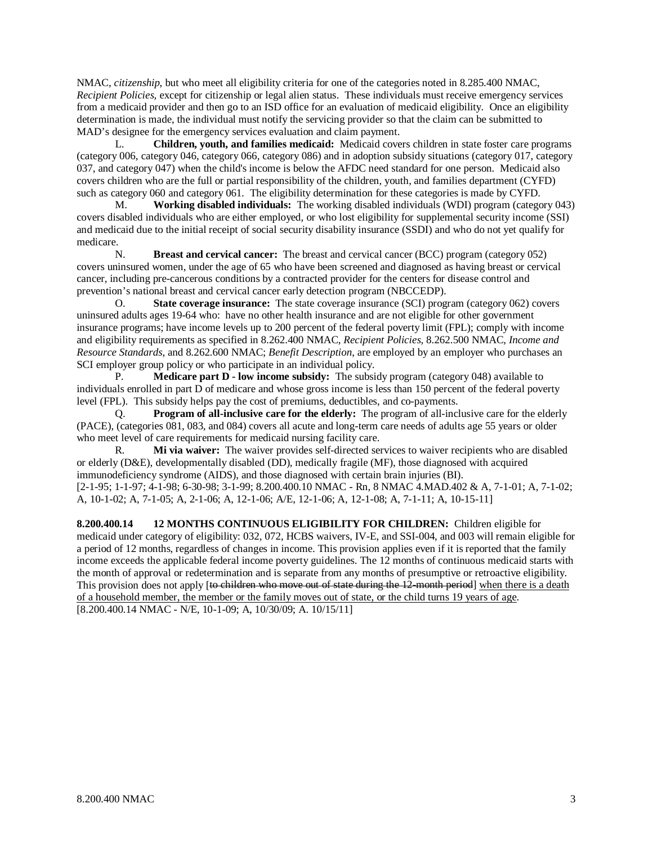NMAC, *citizenship*, but who meet all eligibility criteria for one of the categories noted in 8.285.400 NMAC, *Recipient Policies,* except for citizenship or legal alien status. These individuals must receive emergency services from a medicaid provider and then go to an ISD office for an evaluation of medicaid eligibility. Once an eligibility determination is made, the individual must notify the servicing provider so that the claim can be submitted to MAD's designee for the emergency services evaluation and claim payment.

L. **Children, youth, and families medicaid:** Medicaid covers children in state foster care programs (category 006, category 046, category 066, category 086) and in adoption subsidy situations (category 017, category 037, and category 047) when the child's income is below the AFDC need standard for one person. Medicaid also covers children who are the full or partial responsibility of the children, youth, and families department (CYFD) such as category 060 and category 061. The eligibility determination for these categories is made by CYFD.

M. **Working disabled individuals:** The working disabled individuals (WDI) program (category 043) covers disabled individuals who are either employed, or who lost eligibility for supplemental security income (SSI) and medicaid due to the initial receipt of social security disability insurance (SSDI) and who do not yet qualify for medicare.

N. **Breast and cervical cancer:** The breast and cervical cancer (BCC) program (category 052) covers uninsured women, under the age of 65 who have been screened and diagnosed as having breast or cervical cancer, including pre-cancerous conditions by a contracted provider for the centers for disease control and prevention's national breast and cervical cancer early detection program (NBCCEDP).

O. **State coverage insurance:** The state coverage insurance (SCI) program (category 062) covers uninsured adults ages 19-64 who: have no other health insurance and are not eligible for other government insurance programs; have income levels up to 200 percent of the federal poverty limit (FPL); comply with income and eligibility requirements as specified in 8.262.400 NMAC, *Recipient Policies,* 8.262.500 NMAC, *Income and Resource Standards*, and 8.262.600 NMAC; *Benefit Description*, are employed by an employer who purchases an SCI employer group policy or who participate in an individual policy.

P. **Medicare part D - low income subsidy:** The subsidy program (category 048) available to individuals enrolled in part D of medicare and whose gross income is less than 150 percent of the federal poverty level (FPL). This subsidy helps pay the cost of premiums, deductibles, and co-payments.

Q. **Program of all-inclusive care for the elderly:** The program of all-inclusive care for the elderly (PACE), (categories 081, 083, and 084) covers all acute and long-term care needs of adults age 55 years or older who meet level of care requirements for medicaid nursing facility care.

R. **Mi via waiver:** The waiver provides self-directed services to waiver recipients who are disabled or elderly (D&E), developmentally disabled (DD), medically fragile (MF), those diagnosed with acquired immunodeficiency syndrome (AIDS), and those diagnosed with certain brain injuries (BI). [2-1-95; 1-1-97; 4-1-98; 6-30-98; 3-1-99; 8.200.400.10 NMAC - Rn, 8 NMAC 4.MAD.402 & A, 7-1-01; A, 7-1-02; A, 10-1-02; A, 7-1-05; A, 2-1-06; A, 12-1-06; A/E, 12-1-06; A, 12-1-08; A, 7-1-11; A, 10-15-11]

**8.200.400.14 12 MONTHS CONTINUOUS ELIGIBILITY FOR CHILDREN:** Children eligible for medicaid under category of eligibility: 032, 072, HCBS waivers, IV-E, and SSI-004, and 003 will remain eligible for a period of 12 months, regardless of changes in income. This provision applies even if it is reported that the family income exceeds the applicable federal income poverty guidelines. The 12 months of continuous medicaid starts with the month of approval or redetermination and is separate from any months of presumptive or retroactive eligibility. This provision does not apply [to children who move out of state during the 12-month period] when there is a death of a household member, the member or the family moves out of state, or the child turns 19 years of age . [8.200.400.14 NMAC - N/E, 10-1-09; A, 10/30/09; A. 10/15/11]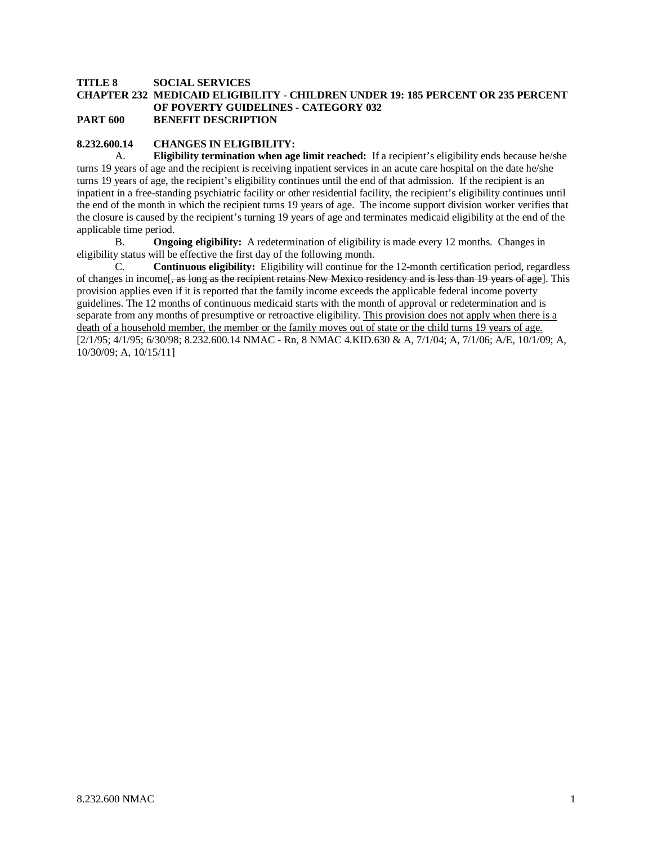#### **TITLE 8 SOCIAL SERVICES CHAPTER 232 MEDICAID ELIGIBILITY - CHILDREN UNDER 19: 185 PERCENT OR 235 PERCENT OF POVERTY GUIDELINES - CATEGORY 032 PART 600 BENEFIT DESCRIPTION**

#### **8.232.600.14 CHANGES IN ELIGIBILITY:**

A. **Eligibility termination when age limit reached:** If a recipient's eligibility ends because he/she turns 19 years of age and the recipient is receiving inpatient services in an acute care hospital on the date he/she turns 19 years of age, the recipient's eligibility continues until the end of that admission. If the recipient is an inpatient in a free-standing psychiatric facility or other residential facility, the recipient's eligibility continues until the end of the month in which the recipient turns 19 years of age. The income support division worker verifies that the closure is caused by the recipient's turning 19 years of age and terminates medicaid eligibility at the end of the applicable time period.

B. **Ongoing eligibility:** A redetermination of eligibility is made every 12 months. Changes in eligibility status will be effective the first day of the following month.

C. **Continuous eligibility:** Eligibility will continue for the 12-month certification period, regardless of changes in income<sup>[</sup>, as long as the recipient retains New Mexico residency and is less than 19 years of age]. This provision applies even if it is reported that the family income exceeds the applicable federal income poverty guidelines. The 12 months of continuous medicaid starts with the month of approval or redetermination and is separate from any months of presumptive or retroactive eligibility. This provision does not apply when there is a death of a household member, the member or the family moves out of state or the child turns 19 years of age. [2/1/95; 4/1/95; 6/30/98; 8.232.600.14 NMAC - Rn, 8 NMAC 4.KID.630 & A, 7/1/04; A, 7/1/06; A/E, 10/1/09; A, 10/30/09; A, 10/15/11]